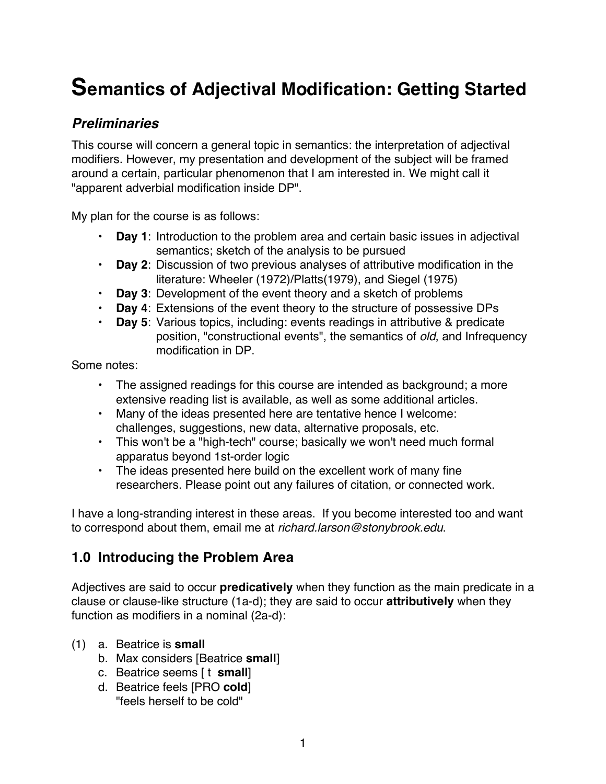# **Semantics of Adjectival Modification: Getting Started**

# *Preliminaries*

This course will concern a general topic in semantics: the interpretation of adjectival modifiers. However, my presentation and development of the subject will be framed around a certain, particular phenomenon that I am interested in. We might call it "apparent adverbial modification inside DP".

My plan for the course is as follows:

- **Day 1**: Introduction to the problem area and certain basic issues in adjectival semantics; sketch of the analysis to be pursued
- **Day 2**: Discussion of two previous analyses of attributive modification in the literature: Wheeler (1972)/Platts(1979), and Siegel (1975)
- **Day 3**: Development of the event theory and a sketch of problems
- **Day 4**: Extensions of the event theory to the structure of possessive DPs
- **Day 5**: Various topics, including: events readings in attributive & predicate position, "constructional events", the semantics of *old*, and Infrequency modification in DP.

Some notes:

- The assigned readings for this course are intended as background; a more extensive reading list is available, as well as some additional articles.
- Many of the ideas presented here are tentative hence I welcome: challenges, suggestions, new data, alternative proposals, etc.
- This won't be a "high-tech" course; basically we won't need much formal apparatus beyond 1st-order logic
- The ideas presented here build on the excellent work of many fine researchers. Please point out any failures of citation, or connected work.

I have a long-stranding interest in these areas. If you become interested too and want to correspond about them, email me at *richard.larson@stonybrook.edu*.

# **1.0 Introducing the Problem Area**

Adjectives are said to occur **predicatively** when they function as the main predicate in a clause or clause-like structure (1a-d); they are said to occur **attributively** when they function as modifiers in a nominal (2a-d):

- (1) a. Beatrice is **small**
	- b. Max considers [Beatrice **small**]
	- c. Beatrice seems [ t **small**]
	- d. Beatrice feels [PRO **cold**] "feels herself to be cold"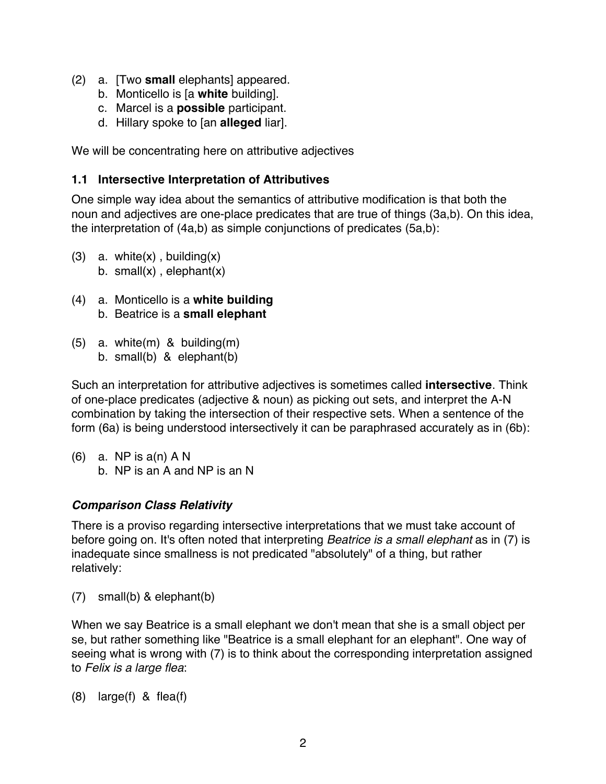- (2) a. [Two **small** elephants] appeared.
	- b. Monticello is [a **white** building].
	- c. Marcel is a **possible** participant.
	- d. Hillary spoke to [an **alleged** liar].

We will be concentrating here on attributive adjectives

#### **1.1 Intersective Interpretation of Attributives**

One simple way idea about the semantics of attributive modification is that both the noun and adjectives are one-place predicates that are true of things (3a,b). On this idea, the interpretation of (4a,b) as simple conjunctions of predicates (5a,b):

- (3) a. white $(x)$ , building $(x)$ b. small $(x)$ , elephant $(x)$
- (4) a. Monticello is a **white building** b. Beatrice is a **small elephant**
- (5) a. white(m) & building(m) b. small(b) & elephant(b)

Such an interpretation for attributive adjectives is sometimes called **intersective**. Think of one-place predicates (adjective & noun) as picking out sets, and interpret the A-N combination by taking the intersection of their respective sets. When a sentence of the form (6a) is being understood intersectively it can be paraphrased accurately as in (6b):

(6) a. NP is  $a(n)$  A N b. NP is an A and NP is an N

#### *Comparison Class Relativity*

There is a proviso regarding intersective interpretations that we must take account of before going on. It's often noted that interpreting *Beatrice is a small elephant* as in (7) is inadequate since smallness is not predicated "absolutely" of a thing, but rather relatively:

(7) small(b) & elephant(b)

When we say Beatrice is a small elephant we don't mean that she is a small object per se, but rather something like "Beatrice is a small elephant for an elephant". One way of seeing what is wrong with (7) is to think about the corresponding interpretation assigned to *Felix is a large flea*:

(8) large(f) & flea(f)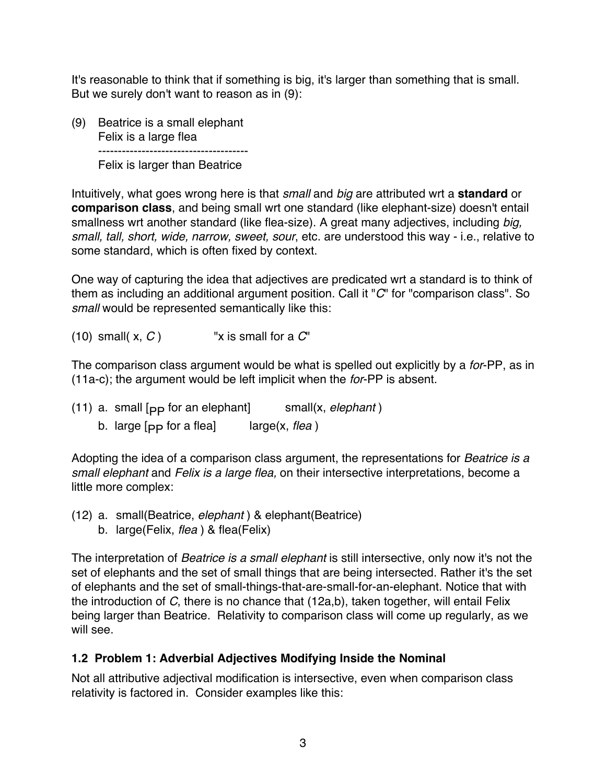It's reasonable to think that if something is big, it's larger than something that is small. But we surely don't want to reason as in (9):

(9) Beatrice is a small elephant Felix is a large flea -------------------------------------- Felix is larger than Beatrice

Intuitively, what goes wrong here is that *small* and *big* are attributed wrt a **standard** or **comparison class**, and being small wrt one standard (like elephant-size) doesn't entail smallness wrt another standard (like flea-size). A great many adjectives, including *big, small, tall, short, wide, narrow, sweet, sour*, etc. are understood this way - i.e., relative to some standard, which is often fixed by context.

One way of capturing the idea that adjectives are predicated wrt a standard is to think of them as including an additional argument position. Call it "*C*" for "comparison class". So *small* would be represented semantically like this:

(10) small( $x, C$ ) "x is small for a  $C'$ "

The comparison class argument would be what is spelled out explicitly by a *for*-PP, as in (11a-c); the argument would be left implicit when the *for*-PP is absent.

(11) a. small [<sub>PP</sub> for an elephant] small(x, *elephant*) b. large  $[p]$  for a flea<sup> $]$ </sup> large(x, *flea*)

Adopting the idea of a comparison class argument, the representations for *Beatrice is a small elephant* and *Felix is a large flea,* on their intersective interpretations, become a little more complex:

(12) a. small(Beatrice, *elephant* ) & elephant(Beatrice) b. large(Felix, *flea* ) & flea(Felix)

The interpretation of *Beatrice is a small elephant* is still intersective, only now it's not the set of elephants and the set of small things that are being intersected. Rather it's the set of elephants and the set of small-things-that-are-small-for-an-elephant. Notice that with the introduction of *C*, there is no chance that (12a,b), taken together, will entail Felix being larger than Beatrice. Relativity to comparison class will come up regularly, as we will see.

#### **1.2 Problem 1: Adverbial Adjectives Modifying Inside the Nominal**

Not all attributive adjectival modification is intersective, even when comparison class relativity is factored in. Consider examples like this: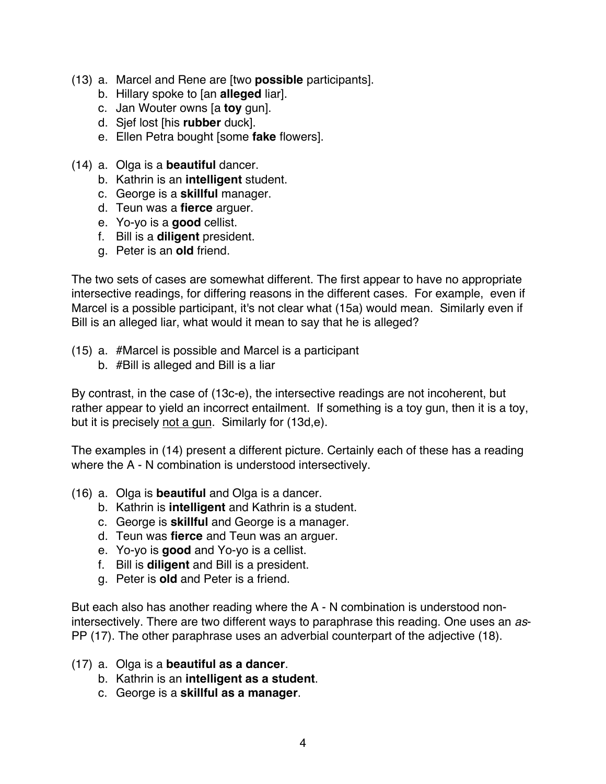- (13) a. Marcel and Rene are [two **possible** participants].
	- b. Hillary spoke to [an **alleged** liar].
	- c. Jan Wouter owns [a **toy** gun].
	- d. Sjef lost [his **rubber** duck].
	- e. Ellen Petra bought [some **fake** flowers].
- (14) a. Olga is a **beautiful** dancer.
	- b. Kathrin is an **intelligent** student.
	- c. George is a **skillful** manager.
	- d. Teun was a **fierce** arguer.
	- e. Yo-yo is a **good** cellist.
	- f. Bill is a **diligent** president.
	- g. Peter is an **old** friend.

The two sets of cases are somewhat different. The first appear to have no appropriate intersective readings, for differing reasons in the different cases. For example, even if Marcel is a possible participant, it's not clear what (15a) would mean. Similarly even if Bill is an alleged liar, what would it mean to say that he is alleged?

- (15) a. #Marcel is possible and Marcel is a participant
	- b. #Bill is alleged and Bill is a liar

By contrast, in the case of (13c-e), the intersective readings are not incoherent, but rather appear to yield an incorrect entailment. If something is a toy gun, then it is a toy, but it is precisely not a gun. Similarly for (13d,e).

The examples in (14) present a different picture. Certainly each of these has a reading where the A - N combination is understood intersectively.

- (16) a. Olga is **beautiful** and Olga is a dancer.
	- b. Kathrin is **intelligent** and Kathrin is a student.
	- c. George is **skillful** and George is a manager.
	- d. Teun was **fierce** and Teun was an arguer.
	- e. Yo-yo is **good** and Yo-yo is a cellist.
	- f. Bill is **diligent** and Bill is a president.
	- g. Peter is **old** and Peter is a friend.

But each also has another reading where the A - N combination is understood nonintersectively. There are two different ways to paraphrase this reading. One uses an *as*-PP (17). The other paraphrase uses an adverbial counterpart of the adjective (18).

- (17) a. Olga is a **beautiful as a dancer**.
	- b. Kathrin is an **intelligent as a student**.
	- c. George is a **skillful as a manager**.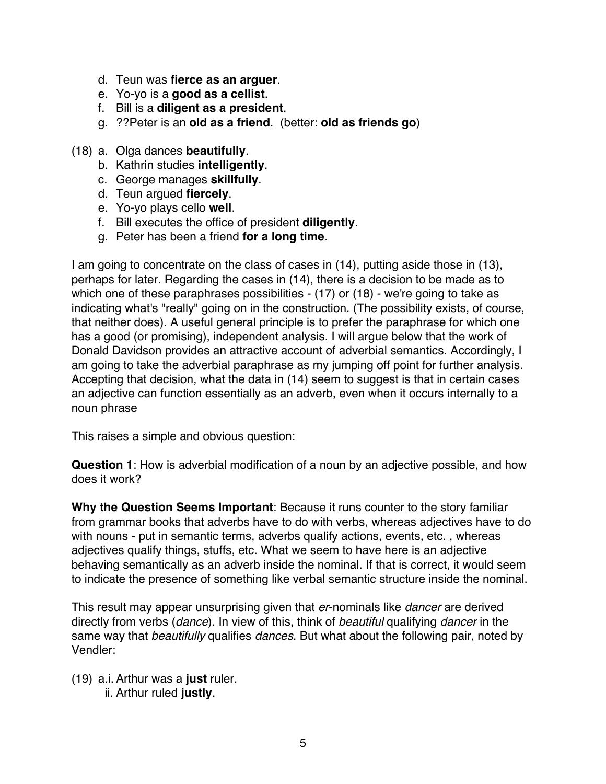- d. Teun was **fierce as an arguer**.
- e. Yo-yo is a **good as a cellist**.
- f. Bill is a **diligent as a president**.
- g. ??Peter is an **old as a friend**. (better: **old as friends go**)
- (18) a. Olga dances **beautifully**.
	- b. Kathrin studies **intelligently**.
	- c. George manages **skillfully**.
	- d. Teun argued **fiercely**.
	- e. Yo-yo plays cello **well**.
	- f. Bill executes the office of president **diligently**.
	- g. Peter has been a friend **for a long time**.

I am going to concentrate on the class of cases in (14), putting aside those in (13), perhaps for later. Regarding the cases in (14), there is a decision to be made as to which one of these paraphrases possibilities - (17) or (18) - we're going to take as indicating what's "really" going on in the construction. (The possibility exists, of course, that neither does). A useful general principle is to prefer the paraphrase for which one has a good (or promising), independent analysis. I will argue below that the work of Donald Davidson provides an attractive account of adverbial semantics. Accordingly, I am going to take the adverbial paraphrase as my jumping off point for further analysis. Accepting that decision, what the data in (14) seem to suggest is that in certain cases an adjective can function essentially as an adverb, even when it occurs internally to a noun phrase

This raises a simple and obvious question:

**Question 1**: How is adverbial modification of a noun by an adjective possible, and how does it work?

**Why the Question Seems Important**: Because it runs counter to the story familiar from grammar books that adverbs have to do with verbs, whereas adjectives have to do with nouns - put in semantic terms, adverbs qualify actions, events, etc., whereas adjectives qualify things, stuffs, etc. What we seem to have here is an adjective behaving semantically as an adverb inside the nominal. If that is correct, it would seem to indicate the presence of something like verbal semantic structure inside the nominal.

This result may appear unsurprising given that *er*-nominals like *dancer* are derived directly from verbs (*dance*). In view of this, think of *beautiful* qualifying *dancer* in the same way that *beautifully* qualifies *dances*. But what about the following pair, noted by Vendler:

(19) a.i.Arthur was a **just** ruler. ii. Arthur ruled **justly**.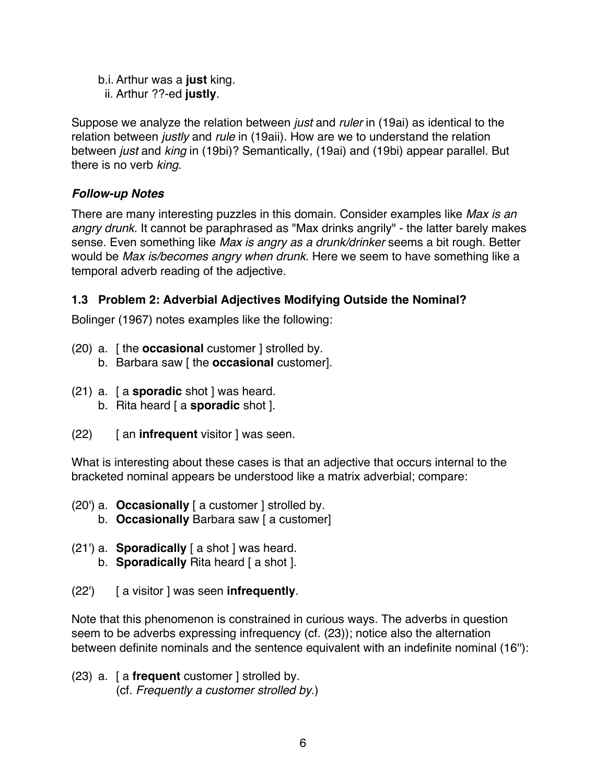- b.i.Arthur was a **just** king.
	- ii. Arthur ??-ed **justly**.

Suppose we analyze the relation between *just* and *ruler* in (19ai) as identical to the relation between *justly* and *rule* in (19aii). How are we to understand the relation between *just* and *king* in (19bi)? Semantically, (19ai) and (19bi) appear parallel. But there is no verb *king*.

### *Follow-up Notes*

There are many interesting puzzles in this domain. Consider examples like *Max is an angry drunk*. It cannot be paraphrased as "Max drinks angrily" - the latter barely makes sense. Even something like *Max is angry as a drunk/drinker* seems a bit rough. Better would be *Max is/becomes angry when drunk*. Here we seem to have something like a temporal adverb reading of the adjective.

# **1.3 Problem 2: Adverbial Adjectives Modifying Outside the Nominal?**

Bolinger (1967) notes examples like the following:

- (20) a. [ the **occasional** customer ] strolled by. b. Barbara saw [ the **occasional** customer].
- (21) a. [ a **sporadic** shot ] was heard.
	- b. Rita heard [ a **sporadic** shot ].
- (22) [ an **infrequent** visitor ] was seen.

What is interesting about these cases is that an adjective that occurs internal to the bracketed nominal appears be understood like a matrix adverbial; compare:

- (20') a. **Occasionally** [ a customer ] strolled by.
	- b. **Occasionally** Barbara saw [ a customer]
- (21') a. **Sporadically** [ a shot ] was heard.
	- b. **Sporadically** Rita heard [ a shot ].
- (22') [ a visitor ] was seen **infrequently**.

Note that this phenomenon is constrained in curious ways. The adverbs in question seem to be adverbs expressing infrequency (cf. (23)); notice also the alternation between definite nominals and the sentence equivalent with an indefinite nominal (16''):

(23) a. [ a **frequent** customer ] strolled by. (cf. *Frequently a customer strolled by*.)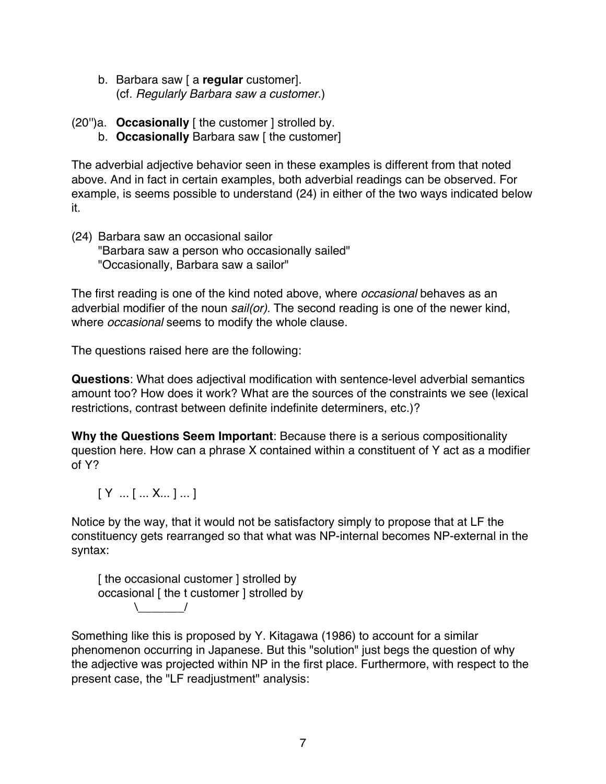- b. Barbara saw [ a **regular** customer]. (cf. *Regularly Barbara saw a customer*.)
- (20'')a. **Occasionally** [ the customer ] strolled by.
	- b. **Occasionally** Barbara saw [ the customer]

The adverbial adjective behavior seen in these examples is different from that noted above. And in fact in certain examples, both adverbial readings can be observed. For example, is seems possible to understand (24) in either of the two ways indicated below it.

(24) Barbara saw an occasional sailor "Barbara saw a person who occasionally sailed" "Occasionally, Barbara saw a sailor"

The first reading is one of the kind noted above, where *occasional* behaves as an adverbial modifier of the noun *sail(or)*. The second reading is one of the newer kind, where *occasional* seems to modify the whole clause.

The questions raised here are the following:

**Questions**: What does adjectival modification with sentence-level adverbial semantics amount too? How does it work? What are the sources of the constraints we see (lexical restrictions, contrast between definite indefinite determiners, etc.)?

**Why the Questions Seem Important**: Because there is a serious compositionality question here. How can a phrase X contained within a constituent of Y act as a modifier of Y?

[ Y ... [ ... X... ] ... ]

Notice by the way, that it would not be satisfactory simply to propose that at LF the constituency gets rearranged so that what was NP-internal becomes NP-external in the syntax:

[ the occasional customer ] strolled by occasional [ the t customer ] strolled by  $\setminus$ 

Something like this is proposed by Y. Kitagawa (1986) to account for a similar phenomenon occurring in Japanese. But this "solution" just begs the question of why the adjective was projected within NP in the first place. Furthermore, with respect to the present case, the "LF readjustment" analysis: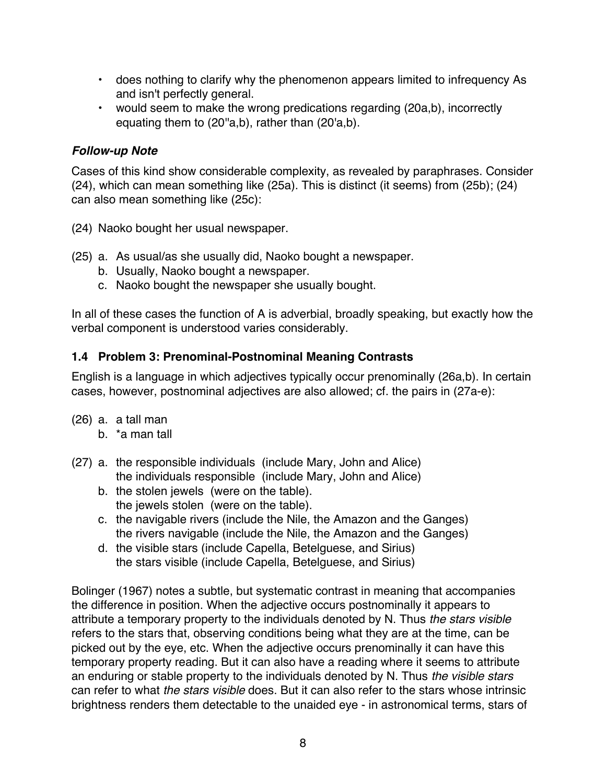- does nothing to clarify why the phenomenon appears limited to infrequency As and isn't perfectly general.
- would seem to make the wrong predications regarding (20a,b), incorrectly equating them to (20"a,b), rather than (20'a,b).

## *Follow-up Note*

Cases of this kind show considerable complexity, as revealed by paraphrases. Consider (24), which can mean something like (25a). This is distinct (it seems) from (25b); (24) can also mean something like (25c):

(24) Naoko bought her usual newspaper.

- (25) a. As usual/as she usually did, Naoko bought a newspaper.
	- b. Usually, Naoko bought a newspaper.
	- c. Naoko bought the newspaper she usually bought.

In all of these cases the function of A is adverbial, broadly speaking, but exactly how the verbal component is understood varies considerably.

#### **1.4 Problem 3: Prenominal-Postnominal Meaning Contrasts**

English is a language in which adjectives typically occur prenominally (26a,b). In certain cases, however, postnominal adjectives are also allowed; cf. the pairs in (27a-e):

- (26) a. a tall man
	- b. \*a man tall
- (27) a. the responsible individuals (include Mary, John and Alice) the individuals responsible (include Mary, John and Alice)
	- b. the stolen jewels (were on the table). the jewels stolen (were on the table).
	- c. the navigable rivers (include the Nile, the Amazon and the Ganges) the rivers navigable (include the Nile, the Amazon and the Ganges)
	- d. the visible stars (include Capella, Betelguese, and Sirius) the stars visible (include Capella, Betelguese, and Sirius)

Bolinger (1967) notes a subtle, but systematic contrast in meaning that accompanies the difference in position. When the adjective occurs postnominally it appears to attribute a temporary property to the individuals denoted by N. Thus *the stars visible* refers to the stars that, observing conditions being what they are at the time, can be picked out by the eye, etc. When the adjective occurs prenominally it can have this temporary property reading. But it can also have a reading where it seems to attribute an enduring or stable property to the individuals denoted by N. Thus *the visible stars* can refer to what *the stars visible* does. But it can also refer to the stars whose intrinsic brightness renders them detectable to the unaided eye - in astronomical terms, stars of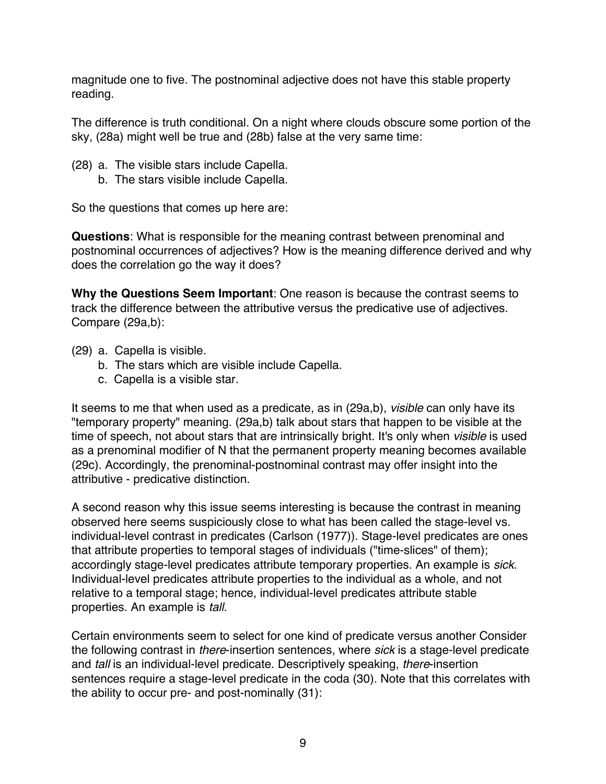magnitude one to five. The postnominal adjective does not have this stable property reading.

The difference is truth conditional. On a night where clouds obscure some portion of the sky, (28a) might well be true and (28b) false at the very same time:

- (28) a. The visible stars include Capella.
	- b. The stars visible include Capella.

So the questions that comes up here are:

**Questions**: What is responsible for the meaning contrast between prenominal and postnominal occurrences of adjectives? How is the meaning difference derived and why does the correlation go the way it does?

**Why the Questions Seem Important**: One reason is because the contrast seems to track the difference between the attributive versus the predicative use of adjectives. Compare (29a,b):

- (29) a. Capella is visible.
	- b. The stars which are visible include Capella.
	- c. Capella is a visible star.

It seems to me that when used as a predicate, as in (29a,b), *visible* can only have its "temporary property" meaning. (29a,b) talk about stars that happen to be visible at the time of speech, not about stars that are intrinsically bright. It's only when *visible* is used as a prenominal modifier of N that the permanent property meaning becomes available (29c). Accordingly, the prenominal-postnominal contrast may offer insight into the attributive - predicative distinction.

A second reason why this issue seems interesting is because the contrast in meaning observed here seems suspiciously close to what has been called the stage-level vs. individual-level contrast in predicates (Carlson (1977)). Stage-level predicates are ones that attribute properties to temporal stages of individuals ("time-slices" of them); accordingly stage-level predicates attribute temporary properties. An example is *sick*. Individual-level predicates attribute properties to the individual as a whole, and not relative to a temporal stage; hence, individual-level predicates attribute stable properties. An example is *tall*.

Certain environments seem to select for one kind of predicate versus another Consider the following contrast in *there*-insertion sentences, where *sick* is a stage-level predicate and *tall* is an individual-level predicate. Descriptively speaking, *there*-insertion sentences require a stage-level predicate in the coda (30). Note that this correlates with the ability to occur pre- and post-nominally (31):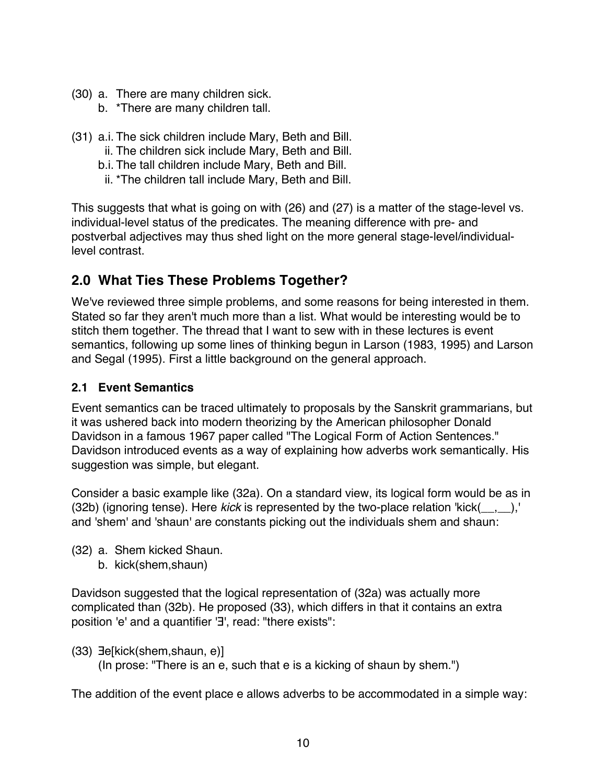- (30) a. There are many children sick.
	- b. \*There are many children tall.
- (31) a.i. The sick children include Mary, Beth and Bill.
	- ii. The children sick include Mary, Beth and Bill.
	- b.i. The tall children include Mary, Beth and Bill.
	- ii. \*The children tall include Mary, Beth and Bill.

This suggests that what is going on with (26) and (27) is a matter of the stage-level vs. individual-level status of the predicates. The meaning difference with pre- and postverbal adjectives may thus shed light on the more general stage-level/individuallevel contrast.

# **2.0 What Ties These Problems Together?**

We've reviewed three simple problems, and some reasons for being interested in them. Stated so far they aren't much more than a list. What would be interesting would be to stitch them together. The thread that I want to sew with in these lectures is event semantics, following up some lines of thinking begun in Larson (1983, 1995) and Larson and Segal (1995). First a little background on the general approach.

# **2.1 Event Semantics**

Event semantics can be traced ultimately to proposals by the Sanskrit grammarians, but it was ushered back into modern theorizing by the American philosopher Donald Davidson in a famous 1967 paper called "The Logical Form of Action Sentences." Davidson introduced events as a way of explaining how adverbs work semantically. His suggestion was simple, but elegant.

Consider a basic example like (32a). On a standard view, its logical form would be as in (32b) (ignoring tense). Here *kick* is represented by the two-place relation 'kick(\_\_,\_\_),' and 'shem' and 'shaun' are constants picking out the individuals shem and shaun:

- (32) a. Shem kicked Shaun.
	- b. kick(shem,shaun)

Davidson suggested that the logical representation of (32a) was actually more complicated than (32b). He proposed (33), which differs in that it contains an extra position 'e' and a quantifier '∃', read: "there exists":

(33) ∃e[kick(shem,shaun, e)]

(In prose: "There is an e, such that e is a kicking of shaun by shem.")

The addition of the event place e allows adverbs to be accommodated in a simple way: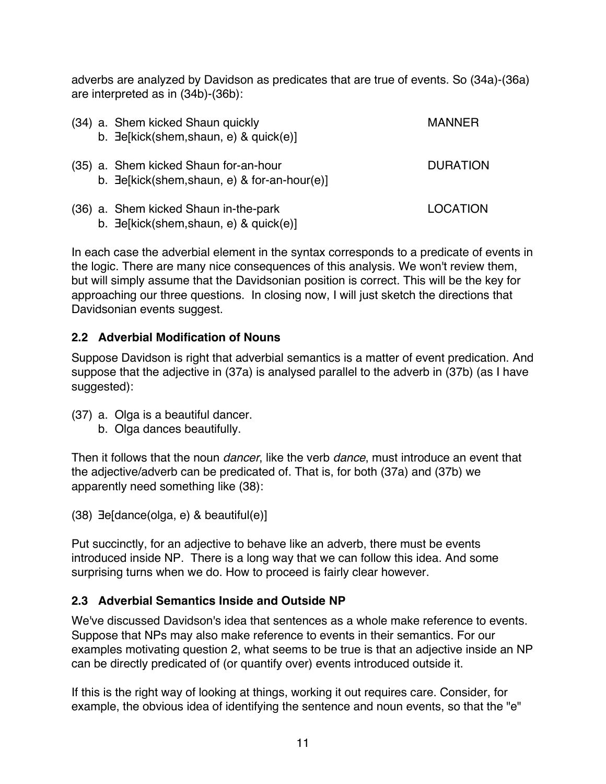adverbs are analyzed by Davidson as predicates that are true of events. So (34a)-(36a) are interpreted as in (34b)-(36b):

|  | (34) a. Shem kicked Shaun quickly<br>b. 3e[kick(shem,shaun, e) & quick(e)]                    | MANNFR          |
|--|-----------------------------------------------------------------------------------------------|-----------------|
|  | (35) a. Shem kicked Shaun for-an-hour<br>b. $\exists$ e[kick(shem,shaun, e) & for-an-hour(e)] | <b>DURATION</b> |
|  | (36) a. Shem kicked Shaun in-the-park<br>b. $\exists$ e[kick(shem,shaun, e) & quick(e)]       | LOCATION        |

In each case the adverbial element in the syntax corresponds to a predicate of events in the logic. There are many nice consequences of this analysis. We won't review them, but will simply assume that the Davidsonian position is correct. This will be the key for approaching our three questions. In closing now, I will just sketch the directions that Davidsonian events suggest.

# **2.2 Adverbial Modification of Nouns**

Suppose Davidson is right that adverbial semantics is a matter of event predication. And suppose that the adjective in (37a) is analysed parallel to the adverb in (37b) (as I have suggested):

- (37) a. Olga is a beautiful dancer.
	- b. Olga dances beautifully.

Then it follows that the noun *dancer*, like the verb *dance*, must introduce an event that the adjective/adverb can be predicated of. That is, for both (37a) and (37b) we apparently need something like (38):

(38) ∃e[dance(olga, e) & beautiful(e)]

Put succinctly, for an adjective to behave like an adverb, there must be events introduced inside NP. There is a long way that we can follow this idea. And some surprising turns when we do. How to proceed is fairly clear however.

# **2.3 Adverbial Semantics Inside and Outside NP**

We've discussed Davidson's idea that sentences as a whole make reference to events. Suppose that NPs may also make reference to events in their semantics. For our examples motivating question 2, what seems to be true is that an adjective inside an NP can be directly predicated of (or quantify over) events introduced outside it.

If this is the right way of looking at things, working it out requires care. Consider, for example, the obvious idea of identifying the sentence and noun events, so that the "e"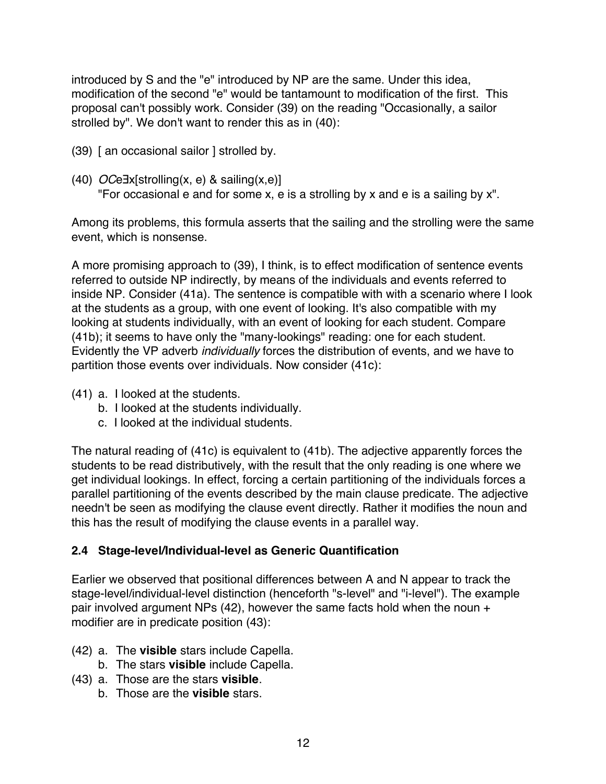introduced by S and the "e" introduced by NP are the same. Under this idea, modification of the second "e" would be tantamount to modification of the first. This proposal can't possibly work. Consider (39) on the reading "Occasionally, a sailor strolled by". We don't want to render this as in (40):

- (39) [ an occasional sailor ] strolled by.
- (40) *OC*e∃x[strolling(x, e) & sailing(x,e)] "For occasional e and for some x, e is a strolling by x and e is a sailing by x".

Among its problems, this formula asserts that the sailing and the strolling were the same event, which is nonsense.

A more promising approach to (39), I think, is to effect modification of sentence events referred to outside NP indirectly, by means of the individuals and events referred to inside NP. Consider (41a). The sentence is compatible with with a scenario where I look at the students as a group, with one event of looking. It's also compatible with my looking at students individually, with an event of looking for each student. Compare (41b); it seems to have only the "many-lookings" reading: one for each student. Evidently the VP adverb *individually* forces the distribution of events, and we have to partition those events over individuals. Now consider (41c):

- (41) a. I looked at the students.
	- b. I looked at the students individually.
	- c. I looked at the individual students.

The natural reading of (41c) is equivalent to (41b). The adjective apparently forces the students to be read distributively, with the result that the only reading is one where we get individual lookings. In effect, forcing a certain partitioning of the individuals forces a parallel partitioning of the events described by the main clause predicate. The adjective needn't be seen as modifying the clause event directly. Rather it modifies the noun and this has the result of modifying the clause events in a parallel way.

#### **2.4 Stage-level/Individual-level as Generic Quantification**

Earlier we observed that positional differences between A and N appear to track the stage-level/individual-level distinction (henceforth "s-level" and "i-level"). The example pair involved argument NPs (42), however the same facts hold when the noun + modifier are in predicate position (43):

- (42) a. The **visible** stars include Capella.
	- b. The stars **visible** include Capella.
- (43) a. Those are the stars **visible**.
	- b. Those are the **visible** stars.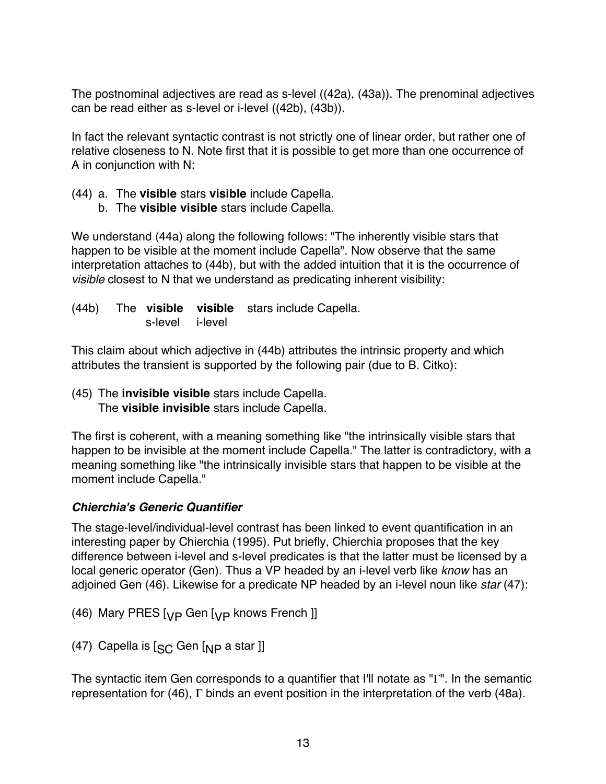The postnominal adjectives are read as s-level ((42a), (43a)). The prenominal adjectives can be read either as s-level or i-level ((42b), (43b)).

In fact the relevant syntactic contrast is not strictly one of linear order, but rather one of relative closeness to N. Note first that it is possible to get more than one occurrence of A in conjunction with N:

- (44) a. The **visible** stars **visible** include Capella.
	- b. The **visible visible** stars include Capella.

We understand (44a) along the following follows: "The inherently visible stars that happen to be visible at the moment include Capella". Now observe that the same interpretation attaches to (44b), but with the added intuition that it is the occurrence of *visible* closest to N that we understand as predicating inherent visibility:

(44b) The **visible visible** stars include Capella. s-level i-level

This claim about which adjective in (44b) attributes the intrinsic property and which attributes the transient is supported by the following pair (due to B. Citko):

(45) The **invisible visible** stars include Capella. The **visible invisible** stars include Capella.

The first is coherent, with a meaning something like "the intrinsically visible stars that happen to be invisible at the moment include Capella." The latter is contradictory, with a meaning something like "the intrinsically invisible stars that happen to be visible at the moment include Capella."

#### *Chierchia's Generic Quantifier*

The stage-level/individual-level contrast has been linked to event quantification in an interesting paper by Chierchia (1995). Put briefly, Chierchia proposes that the key difference between i-level and s-level predicates is that the latter must be licensed by a local generic operator (Gen). Thus a VP headed by an i-level verb like *know* has an adjoined Gen (46). Likewise for a predicate NP headed by an i-level noun like *star* (47):

(46) Mary PRES  $[yP]$  Gen  $[yP]$  knows French ]]

(47) Capella is  $\left[\begin{smallmatrix} 6 & 1 \end{smallmatrix}\right]$  a star ]]

The syntactic item Gen corresponds to a quantifier that I'll notate as "Γ". In the semantic representation for (46), Γ binds an event position in the interpretation of the verb (48a).